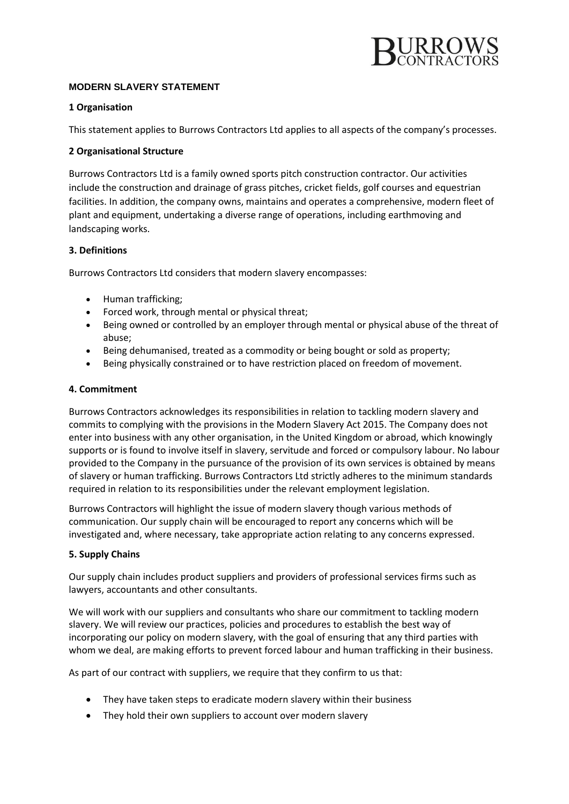

# **MODERN SLAVERY STATEMENT**

# **1 Organisation**

This statement applies to Burrows Contractors Ltd applies to all aspects of the company's processes.

# **2 Organisational Structure**

Burrows Contractors Ltd is a family owned sports pitch construction contractor. Our activities include the construction and drainage of grass pitches, cricket fields, golf courses and equestrian facilities. In addition, the company owns, maintains and operates a comprehensive, modern fleet of plant and equipment, undertaking a diverse range of operations, including earthmoving and landscaping works.

### **3. Definitions**

Burrows Contractors Ltd considers that modern slavery encompasses:

- Human trafficking;
- Forced work, through mental or physical threat;
- Being owned or controlled by an employer through mental or physical abuse of the threat of abuse;
- Being dehumanised, treated as a commodity or being bought or sold as property;
- Being physically constrained or to have restriction placed on freedom of movement.

# **4. Commitment**

Burrows Contractors acknowledges its responsibilities in relation to tackling modern slavery and commits to complying with the provisions in the Modern Slavery Act 2015. The Company does not enter into business with any other organisation, in the United Kingdom or abroad, which knowingly supports or is found to involve itself in slavery, servitude and forced or compulsory labour. No labour provided to the Company in the pursuance of the provision of its own services is obtained by means of slavery or human trafficking. Burrows Contractors Ltd strictly adheres to the minimum standards required in relation to its responsibilities under the relevant employment legislation.

Burrows Contractors will highlight the issue of modern slavery though various methods of communication. Our supply chain will be encouraged to report any concerns which will be investigated and, where necessary, take appropriate action relating to any concerns expressed.

### **5. Supply Chains**

Our supply chain includes product suppliers and providers of professional services firms such as lawyers, accountants and other consultants.

We will work with our suppliers and consultants who share our commitment to tackling modern slavery. We will review our practices, policies and procedures to establish the best way of incorporating our policy on modern slavery, with the goal of ensuring that any third parties with whom we deal, are making efforts to prevent forced labour and human trafficking in their business.

As part of our contract with suppliers, we require that they confirm to us that:

- They have taken steps to eradicate modern slavery within their business
- They hold their own suppliers to account over modern slavery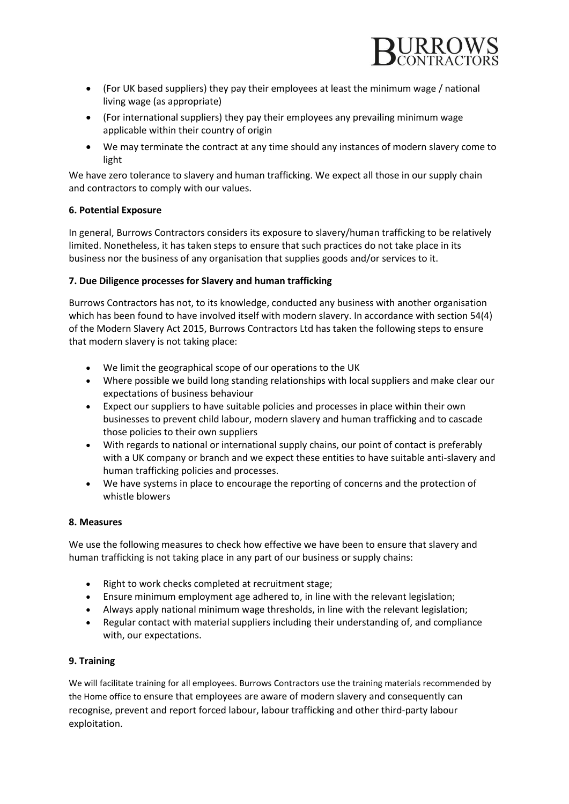

- (For UK based suppliers) they pay their employees at least the minimum wage / national living wage (as appropriate)
- (For international suppliers) they pay their employees any prevailing minimum wage applicable within their country of origin
- We may terminate the contract at any time should any instances of modern slavery come to light

We have zero tolerance to slavery and human trafficking. We expect all those in our supply chain and contractors to comply with our values.

# **6. Potential Exposure**

In general, Burrows Contractors considers its exposure to slavery/human trafficking to be relatively limited. Nonetheless, it has taken steps to ensure that such practices do not take place in its business nor the business of any organisation that supplies goods and/or services to it.

# **7. Due Diligence processes for Slavery and human trafficking**

Burrows Contractors has not, to its knowledge, conducted any business with another organisation which has been found to have involved itself with modern slavery. In accordance with section 54(4) of the Modern Slavery Act 2015, Burrows Contractors Ltd has taken the following steps to ensure that modern slavery is not taking place:

- We limit the geographical scope of our operations to the UK
- Where possible we build long standing relationships with local suppliers and make clear our expectations of business behaviour
- Expect our suppliers to have suitable policies and processes in place within their own businesses to prevent child labour, modern slavery and human trafficking and to cascade those policies to their own suppliers
- With regards to national or international supply chains, our point of contact is preferably with a UK company or branch and we expect these entities to have suitable anti-slavery and human trafficking policies and processes.
- We have systems in place to encourage the reporting of concerns and the protection of whistle blowers

### **8. Measures**

We use the following measures to check how effective we have been to ensure that slavery and human trafficking is not taking place in any part of our business or supply chains:

- Right to work checks completed at recruitment stage;
- Ensure minimum employment age adhered to, in line with the relevant legislation;
- Always apply national minimum wage thresholds, in line with the relevant legislation;
- Regular contact with material suppliers including their understanding of, and compliance with, our expectations.

### **9. Training**

We will facilitate training for all employees. Burrows Contractors use the training materials recommended by the Home office to ensure that employees are aware of modern slavery and consequently can recognise, prevent and report forced labour, labour trafficking and other third-party labour exploitation.